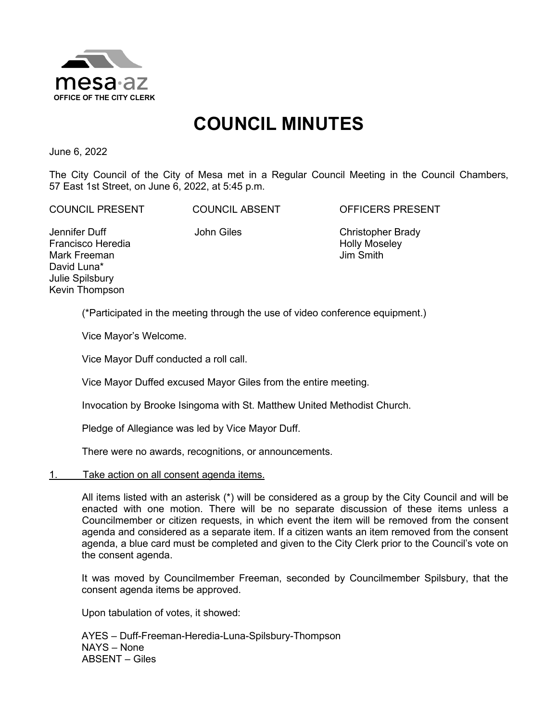

# **COUNCIL MINUTES**

June 6, 2022

The City Council of the City of Mesa met in a Regular Council Meeting in the Council Chambers, 57 East 1st Street, on June 6, 2022, at 5:45 p.m.

COUNCIL PRESENT COUNCIL ABSENT OFFICERS PRESENT

Jennifer Duff Francisco Heredia Mark Freeman David Luna\* Julie Spilsbury Kevin Thompson

John Giles Christopher Brady Holly Moseley Jim Smith

(\*Participated in the meeting through the use of video conference equipment.)

Vice Mayor's Welcome.

Vice Mayor Duff conducted a roll call.

Vice Mayor Duffed excused Mayor Giles from the entire meeting.

Invocation by Brooke Isingoma with St. Matthew United Methodist Church.

Pledge of Allegiance was led by Vice Mayor Duff.

There were no awards, recognitions, or announcements.

#### 1. Take action on all consent agenda items.

All items listed with an asterisk (\*) will be considered as a group by the City Council and will be enacted with one motion. There will be no separate discussion of these items unless a Councilmember or citizen requests, in which event the item will be removed from the consent agenda and considered as a separate item. If a citizen wants an item removed from the consent agenda, a blue card must be completed and given to the City Clerk prior to the Council's vote on the consent agenda.

It was moved by Councilmember Freeman, seconded by Councilmember Spilsbury, that the consent agenda items be approved.

Upon tabulation of votes, it showed:

AYES – Duff-Freeman-Heredia-Luna-Spilsbury-Thompson NAYS – None ABSENT – Giles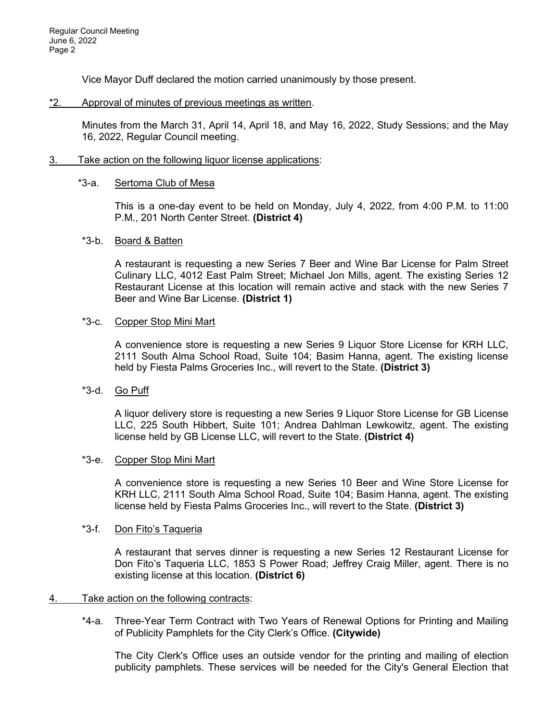Vice Mayor Duff declared the motion carried unanimously by those present.

## \*2. Approval of minutes of previous meetings as written.

Minutes from the March 31, April 14, April 18, and May 16, 2022, Study Sessions; and the May 16, 2022, Regular Council meeting.

## 3. Take action on the following liquor license applications:

## \*3-a. Sertoma Club of Mesa

This is a one-day event to be held on Monday, July 4, 2022, from 4:00 P.M. to 11:00 P.M., 201 North Center Street. **(District 4)**

## \*3-b. Board & Batten

A restaurant is requesting a new Series 7 Beer and Wine Bar License for Palm Street Culinary LLC, 4012 East Palm Street; Michael Jon Mills, agent. The existing Series 12 Restaurant License at this location will remain active and stack with the new Series 7 Beer and Wine Bar License. **(District 1)**

## \*3-c. Copper Stop Mini Mart

A convenience store is requesting a new Series 9 Liquor Store License for KRH LLC, 2111 South Alma School Road, Suite 104; Basim Hanna, agent. The existing license held by Fiesta Palms Groceries Inc., will revert to the State. **(District 3)**

## \*3-d. Go Puff

A liquor delivery store is requesting a new Series 9 Liquor Store License for GB License LLC, 225 South Hibbert, Suite 101; Andrea Dahlman Lewkowitz, agent. The existing license held by GB License LLC, will revert to the State. **(District 4)**

## \*3-e. Copper Stop Mini Mart

A convenience store is requesting a new Series 10 Beer and Wine Store License for KRH LLC, 2111 South Alma School Road, Suite 104; Basim Hanna, agent. The existing license held by Fiesta Palms Groceries Inc., will revert to the State. **(District 3)**

## \*3-f. Don Fito's Taqueria

A restaurant that serves dinner is requesting a new Series 12 Restaurant License for Don Fito's Taqueria LLC, 1853 S Power Road; Jeffrey Craig Miller, agent. There is no existing license at this location. **(District 6)**

## 4. Take action on the following contracts:

\*4-a. Three-Year Term Contract with Two Years of Renewal Options for Printing and Mailing of Publicity Pamphlets for the City Clerk's Office. **(Citywide)**

The City Clerk's Office uses an outside vendor for the printing and mailing of election publicity pamphlets. These services will be needed for the City's General Election that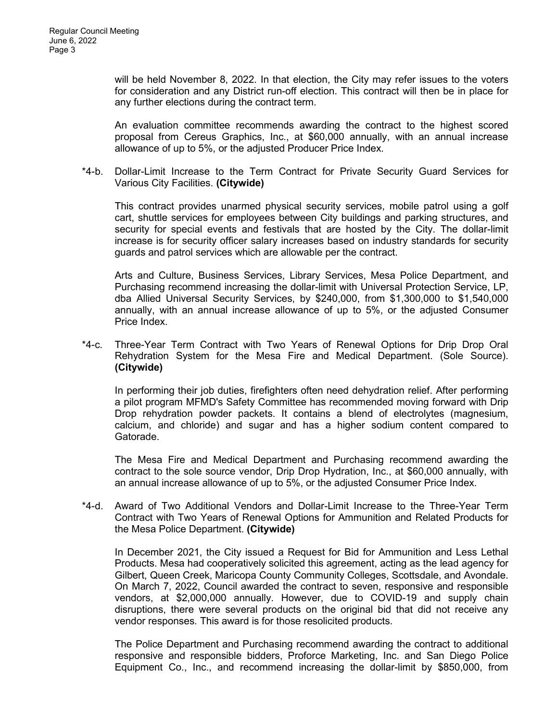will be held November 8, 2022. In that election, the City may refer issues to the voters for consideration and any District run-off election. This contract will then be in place for any further elections during the contract term.

An evaluation committee recommends awarding the contract to the highest scored proposal from Cereus Graphics, Inc., at \$60,000 annually, with an annual increase allowance of up to 5%, or the adjusted Producer Price Index.

\*4-b. Dollar-Limit Increase to the Term Contract for Private Security Guard Services for Various City Facilities. **(Citywide)**

This contract provides unarmed physical security services, mobile patrol using a golf cart, shuttle services for employees between City buildings and parking structures, and security for special events and festivals that are hosted by the City. The dollar-limit increase is for security officer salary increases based on industry standards for security guards and patrol services which are allowable per the contract.

Arts and Culture, Business Services, Library Services, Mesa Police Department, and Purchasing recommend increasing the dollar-limit with Universal Protection Service, LP, dba Allied Universal Security Services, by \$240,000, from \$1,300,000 to \$1,540,000 annually, with an annual increase allowance of up to 5%, or the adjusted Consumer Price Index.

\*4-c. Three-Year Term Contract with Two Years of Renewal Options for Drip Drop Oral Rehydration System for the Mesa Fire and Medical Department. (Sole Source). **(Citywide)**

In performing their job duties, firefighters often need dehydration relief. After performing a pilot program MFMD's Safety Committee has recommended moving forward with Drip Drop rehydration powder packets. It contains a blend of electrolytes (magnesium, calcium, and chloride) and sugar and has a higher sodium content compared to Gatorade.

The Mesa Fire and Medical Department and Purchasing recommend awarding the contract to the sole source vendor, Drip Drop Hydration, Inc., at \$60,000 annually, with an annual increase allowance of up to 5%, or the adjusted Consumer Price Index.

\*4-d. Award of Two Additional Vendors and Dollar-Limit Increase to the Three-Year Term Contract with Two Years of Renewal Options for Ammunition and Related Products for the Mesa Police Department. **(Citywide)**

In December 2021, the City issued a Request for Bid for Ammunition and Less Lethal Products. Mesa had cooperatively solicited this agreement, acting as the lead agency for Gilbert, Queen Creek, Maricopa County Community Colleges, Scottsdale, and Avondale. On March 7, 2022, Council awarded the contract to seven, responsive and responsible vendors, at \$2,000,000 annually. However, due to COVID-19 and supply chain disruptions, there were several products on the original bid that did not receive any vendor responses. This award is for those resolicited products.

The Police Department and Purchasing recommend awarding the contract to additional responsive and responsible bidders, Proforce Marketing, Inc. and San Diego Police Equipment Co., Inc., and recommend increasing the dollar-limit by \$850,000, from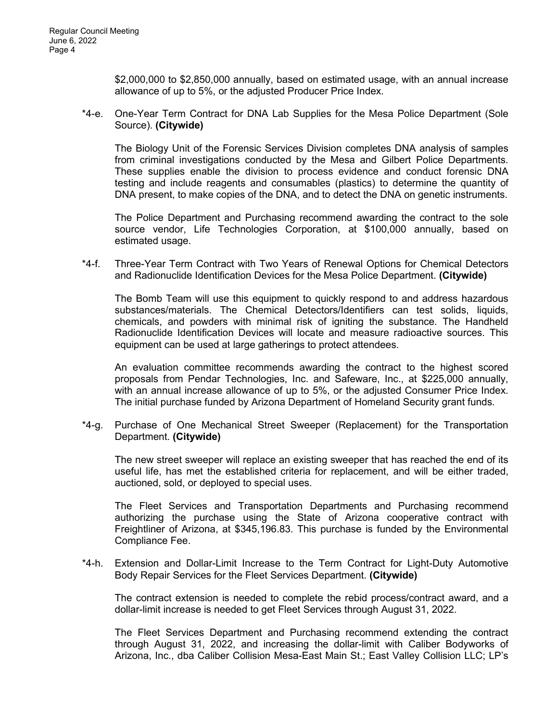\$2,000,000 to \$2,850,000 annually, based on estimated usage, with an annual increase allowance of up to 5%, or the adjusted Producer Price Index.

\*4-e. One-Year Term Contract for DNA Lab Supplies for the Mesa Police Department (Sole Source). **(Citywide)**

The Biology Unit of the Forensic Services Division completes DNA analysis of samples from criminal investigations conducted by the Mesa and Gilbert Police Departments. These supplies enable the division to process evidence and conduct forensic DNA testing and include reagents and consumables (plastics) to determine the quantity of DNA present, to make copies of the DNA, and to detect the DNA on genetic instruments.

The Police Department and Purchasing recommend awarding the contract to the sole source vendor, Life Technologies Corporation, at \$100,000 annually, based on estimated usage.

\*4-f. Three-Year Term Contract with Two Years of Renewal Options for Chemical Detectors and Radionuclide Identification Devices for the Mesa Police Department. **(Citywide)**

The Bomb Team will use this equipment to quickly respond to and address hazardous substances/materials. The Chemical Detectors/Identifiers can test solids, liquids, chemicals, and powders with minimal risk of igniting the substance. The Handheld Radionuclide Identification Devices will locate and measure radioactive sources. This equipment can be used at large gatherings to protect attendees.

An evaluation committee recommends awarding the contract to the highest scored proposals from Pendar Technologies, Inc. and Safeware, Inc., at \$225,000 annually, with an annual increase allowance of up to 5%, or the adjusted Consumer Price Index. The initial purchase funded by Arizona Department of Homeland Security grant funds.

\*4-g. Purchase of One Mechanical Street Sweeper (Replacement) for the Transportation Department. **(Citywide)**

The new street sweeper will replace an existing sweeper that has reached the end of its useful life, has met the established criteria for replacement, and will be either traded, auctioned, sold, or deployed to special uses.

The Fleet Services and Transportation Departments and Purchasing recommend authorizing the purchase using the State of Arizona cooperative contract with Freightliner of Arizona, at \$345,196.83. This purchase is funded by the Environmental Compliance Fee.

\*4-h. Extension and Dollar-Limit Increase to the Term Contract for Light-Duty Automotive Body Repair Services for the Fleet Services Department. **(Citywide)**

The contract extension is needed to complete the rebid process/contract award, and a dollar-limit increase is needed to get Fleet Services through August 31, 2022.

The Fleet Services Department and Purchasing recommend extending the contract through August 31, 2022, and increasing the dollar-limit with Caliber Bodyworks of Arizona, Inc., dba Caliber Collision Mesa-East Main St.; East Valley Collision LLC; LP's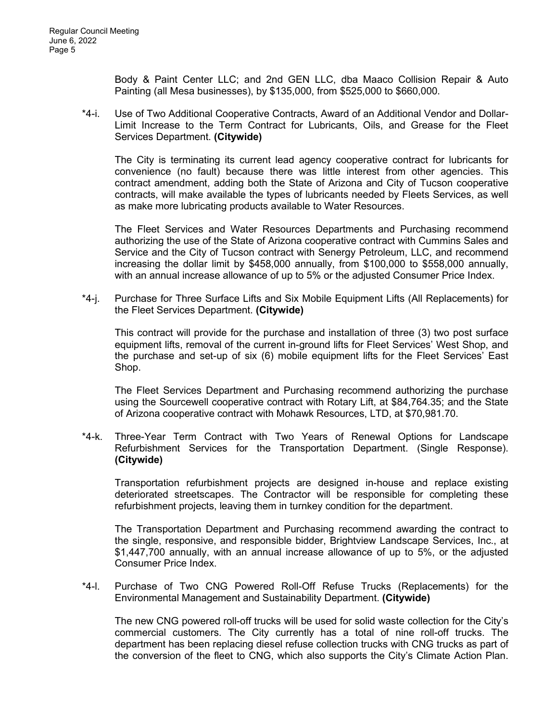Body & Paint Center LLC; and 2nd GEN LLC, dba Maaco Collision Repair & Auto Painting (all Mesa businesses), by \$135,000, from \$525,000 to \$660,000.

\*4-i. Use of Two Additional Cooperative Contracts, Award of an Additional Vendor and Dollar-Limit Increase to the Term Contract for Lubricants, Oils, and Grease for the Fleet Services Department. **(Citywide)**

The City is terminating its current lead agency cooperative contract for lubricants for convenience (no fault) because there was little interest from other agencies. This contract amendment, adding both the State of Arizona and City of Tucson cooperative contracts, will make available the types of lubricants needed by Fleets Services, as well as make more lubricating products available to Water Resources.

The Fleet Services and Water Resources Departments and Purchasing recommend authorizing the use of the State of Arizona cooperative contract with Cummins Sales and Service and the City of Tucson contract with Senergy Petroleum, LLC, and recommend increasing the dollar limit by \$458,000 annually, from \$100,000 to \$558,000 annually, with an annual increase allowance of up to 5% or the adjusted Consumer Price Index.

\*4-j. Purchase for Three Surface Lifts and Six Mobile Equipment Lifts (All Replacements) for the Fleet Services Department. **(Citywide)**

This contract will provide for the purchase and installation of three (3) two post surface equipment lifts, removal of the current in-ground lifts for Fleet Services' West Shop, and the purchase and set-up of six (6) mobile equipment lifts for the Fleet Services' East Shop.

The Fleet Services Department and Purchasing recommend authorizing the purchase using the Sourcewell cooperative contract with Rotary Lift, at \$84,764.35; and the State of Arizona cooperative contract with Mohawk Resources, LTD, at \$70,981.70.

\*4-k. Three-Year Term Contract with Two Years of Renewal Options for Landscape Refurbishment Services for the Transportation Department. (Single Response). **(Citywide)**

Transportation refurbishment projects are designed in-house and replace existing deteriorated streetscapes. The Contractor will be responsible for completing these refurbishment projects, leaving them in turnkey condition for the department.

The Transportation Department and Purchasing recommend awarding the contract to the single, responsive, and responsible bidder, Brightview Landscape Services, Inc., at \$1,447,700 annually, with an annual increase allowance of up to 5%, or the adjusted Consumer Price Index.

\*4-l. Purchase of Two CNG Powered Roll-Off Refuse Trucks (Replacements) for the Environmental Management and Sustainability Department. **(Citywide)**

The new CNG powered roll-off trucks will be used for solid waste collection for the City's commercial customers. The City currently has a total of nine roll-off trucks. The department has been replacing diesel refuse collection trucks with CNG trucks as part of the conversion of the fleet to CNG, which also supports the City's Climate Action Plan.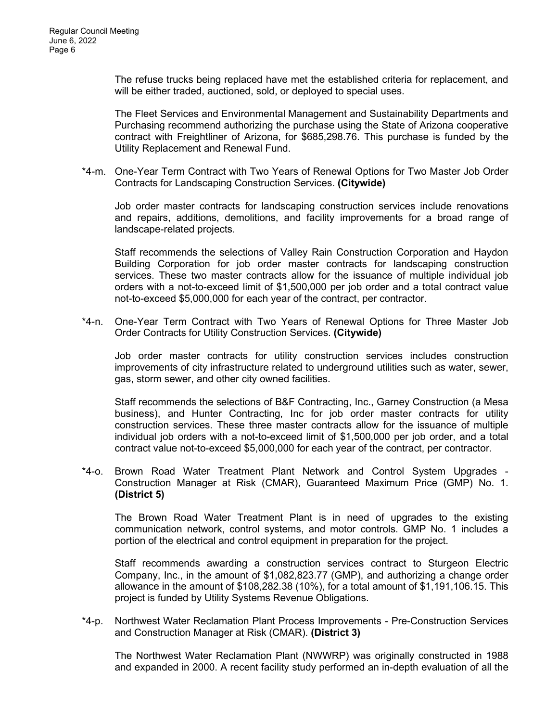The refuse trucks being replaced have met the established criteria for replacement, and will be either traded, auctioned, sold, or deployed to special uses.

The Fleet Services and Environmental Management and Sustainability Departments and Purchasing recommend authorizing the purchase using the State of Arizona cooperative contract with Freightliner of Arizona, for \$685,298.76. This purchase is funded by the Utility Replacement and Renewal Fund.

\*4-m. One-Year Term Contract with Two Years of Renewal Options for Two Master Job Order Contracts for Landscaping Construction Services. **(Citywide)**

Job order master contracts for landscaping construction services include renovations and repairs, additions, demolitions, and facility improvements for a broad range of landscape-related projects.

Staff recommends the selections of Valley Rain Construction Corporation and Haydon Building Corporation for job order master contracts for landscaping construction services. These two master contracts allow for the issuance of multiple individual job orders with a not-to-exceed limit of \$1,500,000 per job order and a total contract value not-to-exceed \$5,000,000 for each year of the contract, per contractor.

\*4-n. One-Year Term Contract with Two Years of Renewal Options for Three Master Job Order Contracts for Utility Construction Services. **(Citywide)**

Job order master contracts for utility construction services includes construction improvements of city infrastructure related to underground utilities such as water, sewer, gas, storm sewer, and other city owned facilities.

Staff recommends the selections of B&F Contracting, Inc., Garney Construction (a Mesa business), and Hunter Contracting, Inc for job order master contracts for utility construction services. These three master contracts allow for the issuance of multiple individual job orders with a not-to-exceed limit of \$1,500,000 per job order, and a total contract value not-to-exceed \$5,000,000 for each year of the contract, per contractor.

\*4-o. Brown Road Water Treatment Plant Network and Control System Upgrades - Construction Manager at Risk (CMAR), Guaranteed Maximum Price (GMP) No. 1. **(District 5)**

The Brown Road Water Treatment Plant is in need of upgrades to the existing communication network, control systems, and motor controls. GMP No. 1 includes a portion of the electrical and control equipment in preparation for the project.

Staff recommends awarding a construction services contract to Sturgeon Electric Company, Inc., in the amount of \$1,082,823.77 (GMP), and authorizing a change order allowance in the amount of \$108,282.38 (10%), for a total amount of \$1,191,106.15. This project is funded by Utility Systems Revenue Obligations.

\*4-p. Northwest Water Reclamation Plant Process Improvements - Pre-Construction Services and Construction Manager at Risk (CMAR). **(District 3)**

The Northwest Water Reclamation Plant (NWWRP) was originally constructed in 1988 and expanded in 2000. A recent facility study performed an in-depth evaluation of all the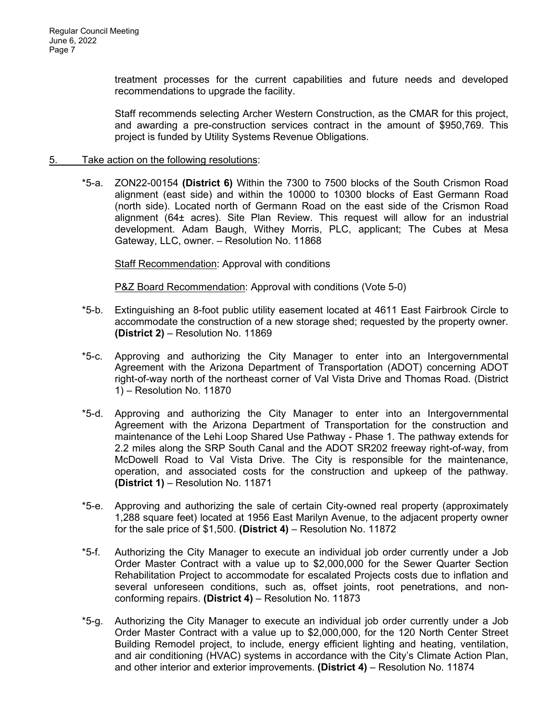treatment processes for the current capabilities and future needs and developed recommendations to upgrade the facility.

Staff recommends selecting Archer Western Construction, as the CMAR for this project, and awarding a pre-construction services contract in the amount of \$950,769. This project is funded by Utility Systems Revenue Obligations.

## 5. Take action on the following resolutions:

\*5-a. ZON22-00154 **(District 6)** Within the 7300 to 7500 blocks of the South Crismon Road alignment (east side) and within the 10000 to 10300 blocks of East Germann Road (north side). Located north of Germann Road on the east side of the Crismon Road alignment (64± acres). Site Plan Review. This request will allow for an industrial development. Adam Baugh, Withey Morris, PLC, applicant; The Cubes at Mesa Gateway, LLC, owner. – Resolution No. 11868

Staff Recommendation: Approval with conditions

P&Z Board Recommendation: Approval with conditions (Vote 5-0)

- \*5-b. Extinguishing an 8-foot public utility easement located at 4611 East Fairbrook Circle to accommodate the construction of a new storage shed; requested by the property owner. **(District 2)** – Resolution No. 11869
- \*5-c. Approving and authorizing the City Manager to enter into an Intergovernmental Agreement with the Arizona Department of Transportation (ADOT) concerning ADOT right-of-way north of the northeast corner of Val Vista Drive and Thomas Road. (District 1) – Resolution No. 11870
- \*5-d. Approving and authorizing the City Manager to enter into an Intergovernmental Agreement with the Arizona Department of Transportation for the construction and maintenance of the Lehi Loop Shared Use Pathway - Phase 1. The pathway extends for 2.2 miles along the SRP South Canal and the ADOT SR202 freeway right-of-way, from McDowell Road to Val Vista Drive. The City is responsible for the maintenance, operation, and associated costs for the construction and upkeep of the pathway. **(District 1)** – Resolution No. 11871
- \*5-e. Approving and authorizing the sale of certain City-owned real property (approximately 1,288 square feet) located at 1956 East Marilyn Avenue, to the adjacent property owner for the sale price of \$1,500. **(District 4)** – Resolution No. 11872
- \*5-f. Authorizing the City Manager to execute an individual job order currently under a Job Order Master Contract with a value up to \$2,000,000 for the Sewer Quarter Section Rehabilitation Project to accommodate for escalated Projects costs due to inflation and several unforeseen conditions, such as, offset joints, root penetrations, and nonconforming repairs. **(District 4)** – Resolution No. 11873
- \*5-g. Authorizing the City Manager to execute an individual job order currently under a Job Order Master Contract with a value up to \$2,000,000, for the 120 North Center Street Building Remodel project, to include, energy efficient lighting and heating, ventilation, and air conditioning (HVAC) systems in accordance with the City's Climate Action Plan, and other interior and exterior improvements. **(District 4)** – Resolution No. 11874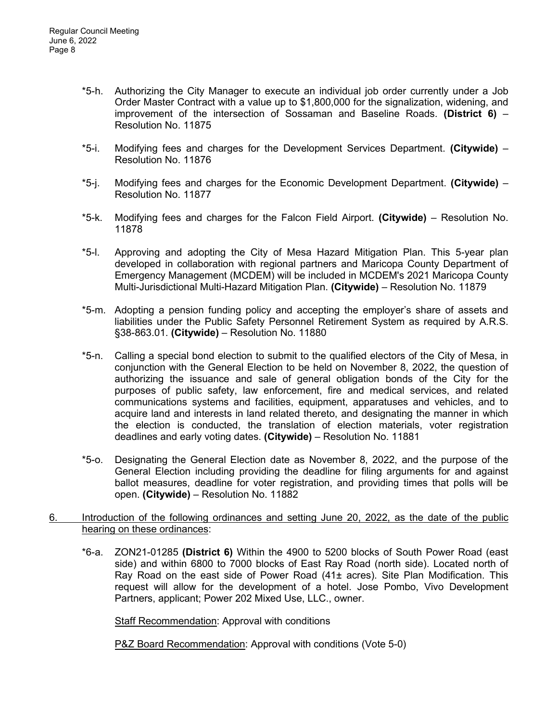- \*5-h. Authorizing the City Manager to execute an individual job order currently under a Job Order Master Contract with a value up to \$1,800,000 for the signalization, widening, and improvement of the intersection of Sossaman and Baseline Roads. **(District 6)** – Resolution No. 11875
- \*5-i. Modifying fees and charges for the Development Services Department. **(Citywide)**  Resolution No. 11876
- \*5-j. Modifying fees and charges for the Economic Development Department. **(Citywide)**  Resolution No. 11877
- \*5-k. Modifying fees and charges for the Falcon Field Airport. **(Citywide)**  Resolution No. 11878
- \*5-l. Approving and adopting the City of Mesa Hazard Mitigation Plan. This 5-year plan developed in collaboration with regional partners and Maricopa County Department of Emergency Management (MCDEM) will be included in MCDEM's 2021 Maricopa County Multi-Jurisdictional Multi-Hazard Mitigation Plan. **(Citywide)** – Resolution No. 11879
- \*5-m. Adopting a pension funding policy and accepting the employer's share of assets and liabilities under the Public Safety Personnel Retirement System as required by A.R.S. §38-863.01. **(Citywide)** – Resolution No. 11880
- \*5-n. Calling a special bond election to submit to the qualified electors of the City of Mesa, in conjunction with the General Election to be held on November 8, 2022, the question of authorizing the issuance and sale of general obligation bonds of the City for the purposes of public safety, law enforcement, fire and medical services, and related communications systems and facilities, equipment, apparatuses and vehicles, and to acquire land and interests in land related thereto, and designating the manner in which the election is conducted, the translation of election materials, voter registration deadlines and early voting dates. **(Citywide)** – Resolution No. 11881
- \*5-o. Designating the General Election date as November 8, 2022, and the purpose of the General Election including providing the deadline for filing arguments for and against ballot measures, deadline for voter registration, and providing times that polls will be open. **(Citywide)** – Resolution No. 11882
- 6. Introduction of the following ordinances and setting June 20, 2022, as the date of the public hearing on these ordinances:
	- \*6-a. ZON21-01285 **(District 6)** Within the 4900 to 5200 blocks of South Power Road (east side) and within 6800 to 7000 blocks of East Ray Road (north side). Located north of Ray Road on the east side of Power Road (41± acres). Site Plan Modification. This request will allow for the development of a hotel. Jose Pombo, Vivo Development Partners, applicant; Power 202 Mixed Use, LLC., owner.

**Staff Recommendation: Approval with conditions** 

P&Z Board Recommendation: Approval with conditions (Vote 5-0)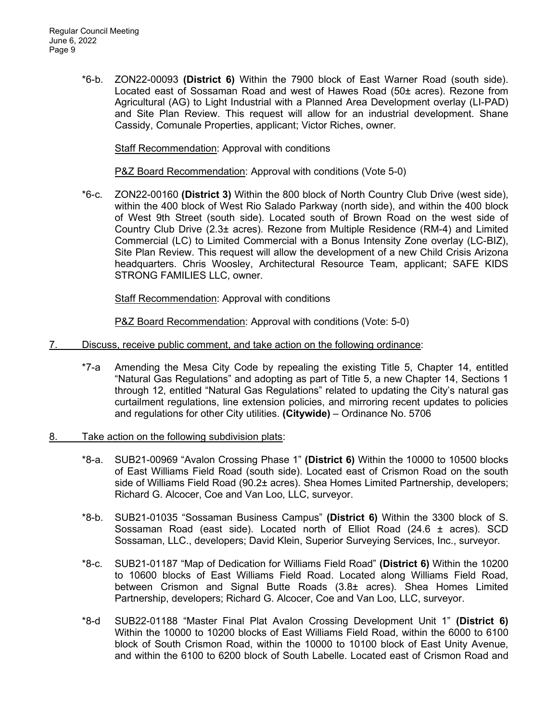\*6-b. ZON22-00093 **(District 6)** Within the 7900 block of East Warner Road (south side). Located east of Sossaman Road and west of Hawes Road (50± acres). Rezone from Agricultural (AG) to Light Industrial with a Planned Area Development overlay (LI-PAD) and Site Plan Review. This request will allow for an industrial development. Shane Cassidy, Comunale Properties, applicant; Victor Riches, owner.

Staff Recommendation: Approval with conditions

P&Z Board Recommendation: Approval with conditions (Vote 5-0)

\*6-c. ZON22-00160 **(District 3)** Within the 800 block of North Country Club Drive (west side), within the 400 block of West Rio Salado Parkway (north side), and within the 400 block of West 9th Street (south side). Located south of Brown Road on the west side of Country Club Drive (2.3± acres). Rezone from Multiple Residence (RM-4) and Limited Commercial (LC) to Limited Commercial with a Bonus Intensity Zone overlay (LC-BIZ), Site Plan Review. This request will allow the development of a new Child Crisis Arizona headquarters. Chris Woosley, Architectural Resource Team, applicant; SAFE KIDS STRONG FAMILIES LLC, owner.

Staff Recommendation: Approval with conditions

P&Z Board Recommendation: Approval with conditions (Vote: 5-0)

- 7. Discuss, receive public comment, and take action on the following ordinance:
	- \*7-a Amending the Mesa City Code by repealing the existing Title 5, Chapter 14, entitled "Natural Gas Regulations" and adopting as part of Title 5, a new Chapter 14, Sections 1 through 12, entitled "Natural Gas Regulations" related to updating the City's natural gas curtailment regulations, line extension policies, and mirroring recent updates to policies and regulations for other City utilities. **(Citywide)** – Ordinance No. 5706
- 8. Take action on the following subdivision plats:
	- \*8-a. SUB21-00969 "Avalon Crossing Phase 1" **(District 6)** Within the 10000 to 10500 blocks of East Williams Field Road (south side). Located east of Crismon Road on the south side of Williams Field Road (90.2± acres). Shea Homes Limited Partnership, developers; Richard G. Alcocer, Coe and Van Loo, LLC, surveyor.
	- \*8-b. SUB21-01035 "Sossaman Business Campus" **(District 6)** Within the 3300 block of S. Sossaman Road (east side). Located north of Elliot Road (24.6 ± acres). SCD Sossaman, LLC., developers; David Klein, Superior Surveying Services, Inc., surveyor.
	- \*8-c. SUB21-01187 "Map of Dedication for Williams Field Road" **(District 6)** Within the 10200 to 10600 blocks of East Williams Field Road. Located along Williams Field Road, between Crismon and Signal Butte Roads (3.8± acres). Shea Homes Limited Partnership, developers; Richard G. Alcocer, Coe and Van Loo, LLC, surveyor.
	- \*8-d SUB22-01188 "Master Final Plat Avalon Crossing Development Unit 1" **(District 6)** Within the 10000 to 10200 blocks of East Williams Field Road, within the 6000 to 6100 block of South Crismon Road, within the 10000 to 10100 block of East Unity Avenue, and within the 6100 to 6200 block of South Labelle. Located east of Crismon Road and